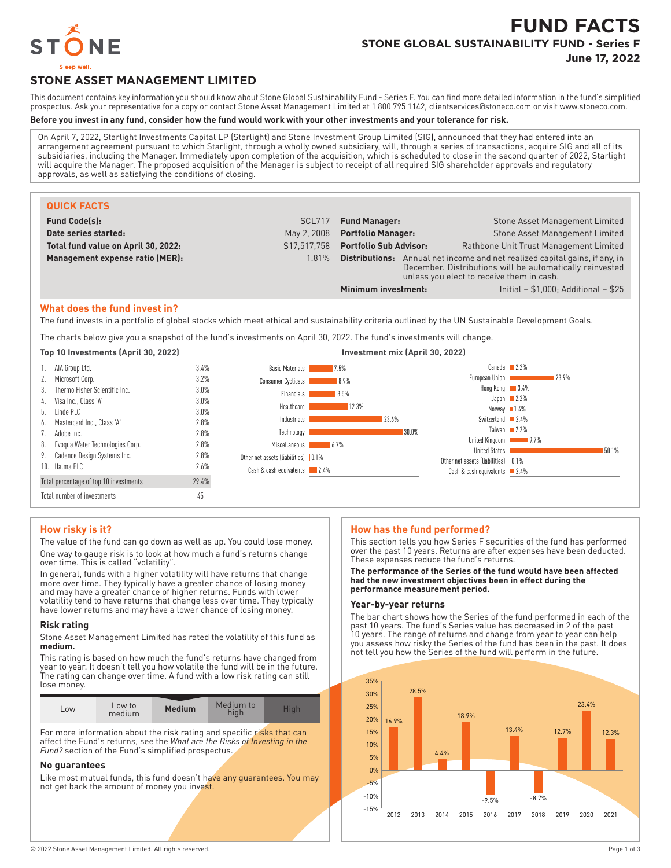

# **FUND FACTS STONE GLOBAL SUSTAINABILITY FUND - Series F**

**June 17, 2022**

## **STONE ASSET MANAGEMENT LIMITED**

This document contains key information you should know about Stone Global Sustainability Fund - Series F. You can find more detailed information in the fund's simplified prospectus. Ask your representative for a copy or contact Stone Asset Management Limited at 1 800 795 1142, clientservices@stoneco.com or visit www.stoneco.com.

## **Before you invest in any fund, consider how the fund would work with your other investments and your tolerance for risk.**

On April 7, 2022, Starlight Investments Capital LP (Starlight) and Stone Investment Group Limited (SIG), announced that they had entered into an arrangement agreement pursuant to which Starlight, through a wholly owned subsidiary, will, through a series of transactions, acquire SIG and all of its subsidiaries, including the Manager. Immediately upon completion of the acquisition, which is scheduled to close in the second quarter of 2022, Starlight will acquire the Manager. The proposed acquisition of the Manager is subject to receipt of all required SIG shareholder approvals and regulatory approvals, as well as satisfying the conditions of closing.

| <b>QUICK FACTS</b>                  |              |                                                                                                                                                                                         |                                         |
|-------------------------------------|--------------|-----------------------------------------------------------------------------------------------------------------------------------------------------------------------------------------|-----------------------------------------|
| <b>Fund Code(s):</b>                | SCL717       | <b>Fund Manager:</b>                                                                                                                                                                    | Stone Asset Management Limited          |
| Date series started:                | May 2, 2008  | <b>Portfolio Manager:</b>                                                                                                                                                               | Stone Asset Management Limited          |
| Total fund value on April 30, 2022: | \$17.517.758 | <b>Portfolio Sub Advisor:</b>                                                                                                                                                           | Rathbone Unit Trust Management Limited  |
| Management expense ratio (MER):     | 1.81%        | Annual net income and net realized capital gains, if any, in<br>Distributions:<br>December. Distributions will be automatically reinvested<br>unless you elect to receive them in cash. |                                         |
|                                     |              | Minimum investment:                                                                                                                                                                     | Initial $- $1,000$ ; Additional $- $25$ |

#### **What does the fund invest in?**

The fund invests in a portfolio of global stocks which meet ethical and sustainability criteria outlined by the UN Sustainable Development Goals.

The charts below give you a snapshot of the fund's investments on April 30, 2022. The fund's investments will change.



#### **How risky is it?**

The value of the fund can go down as well as up. You could lose money. One way to gauge risk is to look at how much a fund's returns change over time. This is called "volatility".

In general, funds with a higher volatility will have returns that change more over time. They typically have a greater chance of losing money and may have a greater chance of higher returns. Funds with lower volatility tend to have returns that change less over time. They typically have lower returns and may have a lower chance of losing money.

#### **Risk rating**

Stone Asset Management Limited has rated the volatility of this fund as **medium.**

This rating is based on how much the fund's returns have changed from year to year. It doesn't tell you how volatile the fund will be in the future. The rating can change over time. A fund with a low risk rating can still lose money.

| L <sub>OW</sub> | Low to<br>medium | <b>Medium</b> | Medium to<br>hiah | Hiah |
|-----------------|------------------|---------------|-------------------|------|
|                 |                  |               |                   |      |

For more information about the risk rating and specific risks that can affect the Fund's returns, see the *What are the Risks of Investing in the Fund?* section of the Fund's simplified prospectus.

#### **No guarantees**

Like most mutual funds, this fund doesn't have any guarantees. You may not get back the amount of money you invest.

#### **How has the fund performed?**

This section tells you how Series F securities of the fund has performed over the past 10 years. Returns are after expenses have been deducted. These expenses reduce the fund's returns.

**The performance of the Series of the fund would have been affected had the new investment objectives been in effect during the performance measurement period.**

#### **Year-by-year returns**

The bar chart shows how the Series of the fund performed in each of the past 10 years. The fund's Series value has decreased in 2 of the past 10 years. The range of returns and change from year to year can help you assess how risky the Series of the fund has been in the past. It does not tell you how the Series of the fund will perform in the future.

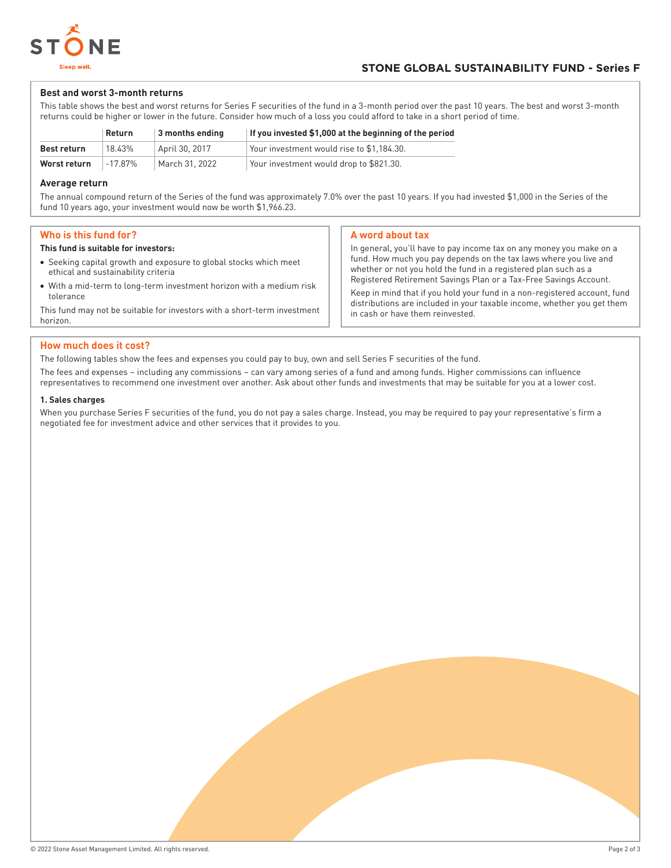

#### **Best and worst 3-month returns**

This table shows the best and worst returns for Series F securities of the fund in a 3-month period over the past 10 years. The best and worst 3-month returns could be higher or lower in the future. Consider how much of a loss you could afford to take in a short period of time.

|              | <b>Return</b> | $\vert$ 3 months ending | If you invested \$1,000 at the beginning of the period |
|--------------|---------------|-------------------------|--------------------------------------------------------|
| Best return  | 18.43%        | April 30, 2017          | Your investment would rise to \$1.184.30.              |
| Worst return | $1 - 17.87%$  | March 31, 2022          | Your investment would drop to \$821.30.                |

#### **Average return**

The annual compound return of the Series of the fund was approximately 7.0% over the past 10 years. If you had invested \$1,000 in the Series of the fund 10 years ago, your investment would now be worth \$1,966.23.

## **Who is this fund for?**

#### **This fund is suitable for investors:**

- Seeking capital growth and exposure to global stocks which meet ethical and sustainability criteria
- With a mid-term to long-term investment horizon with a medium risk tolerance

This fund may not be suitable for investors with a short-term investment horizon.

## **A word about tax**

In general, you'll have to pay income tax on any money you make on a fund. How much you pay depends on the tax laws where you live and whether or not you hold the fund in a registered plan such as a Registered Retirement Savings Plan or a Tax-Free Savings Account.

Keep in mind that if you hold your fund in a non-registered account, fund distributions are included in your taxable income, whether you get them in cash or have them reinvested.

#### **How much does it cost?**

The following tables show the fees and expenses you could pay to buy, own and sell Series F securities of the fund.

The fees and expenses – including any commissions – can vary among series of a fund and among funds. Higher commissions can influence representatives to recommend one investment over another. Ask about other funds and investments that may be suitable for you at a lower cost.

#### **1. Sales charges**

When you purchase Series F securities of the fund, you do not pay a sales charge. Instead, you may be required to pay your representative's firm a negotiated fee for investment advice and other services that it provides to you.